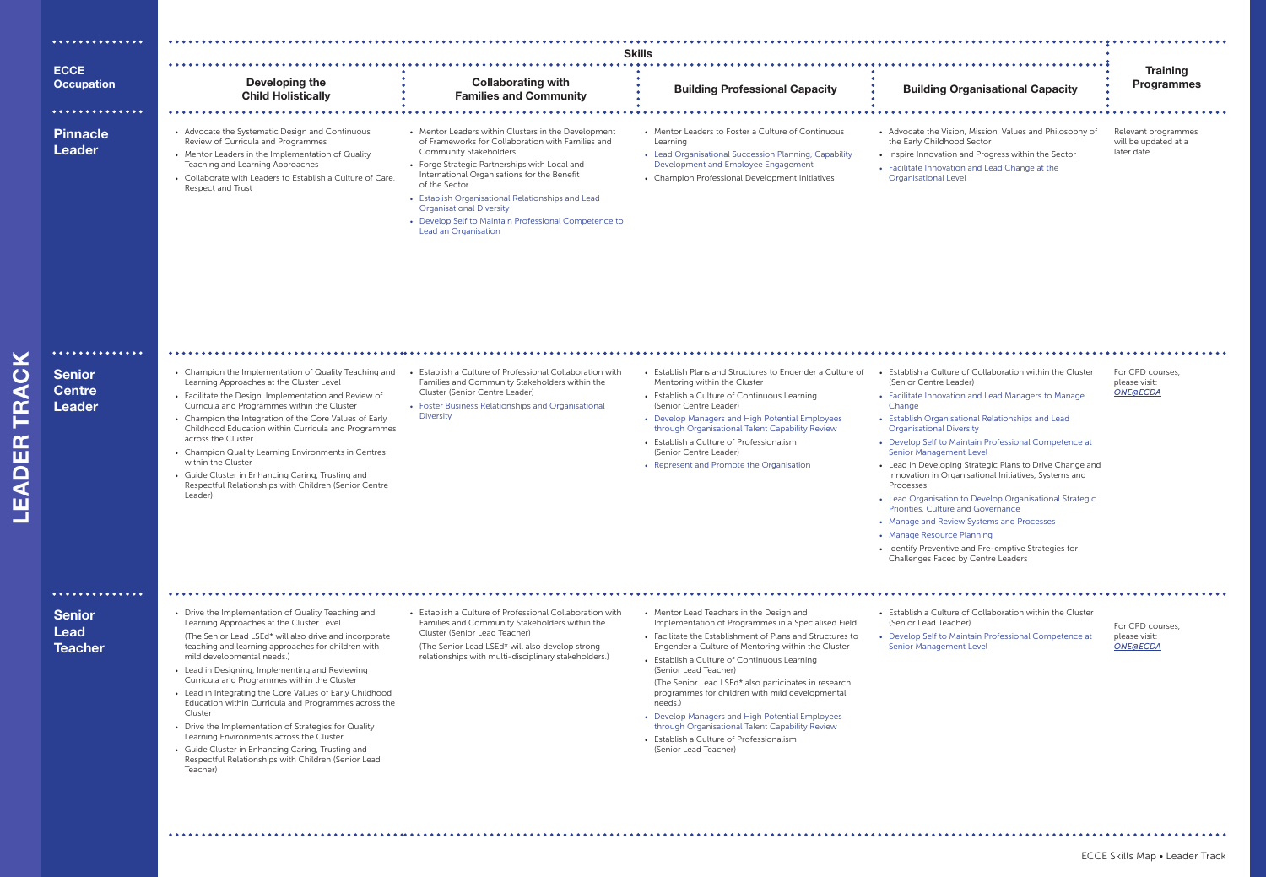

| .                                               |                                                                                                                                                                                                                                                                                                                                                                                                                                                                                                                                                                                                                                                                                                           |                                                                                                                                                                                                                                                                                                                                                                                                                                     |                                                                                                                                                                                                                                                                                                                                                                                                                                                                                                                                                                                              |                                                                                                                                                                                                                                                                                                                                                                                                                                                                                                                                                                                                                                                                                                                                              |                                                            |  |  |
|-------------------------------------------------|-----------------------------------------------------------------------------------------------------------------------------------------------------------------------------------------------------------------------------------------------------------------------------------------------------------------------------------------------------------------------------------------------------------------------------------------------------------------------------------------------------------------------------------------------------------------------------------------------------------------------------------------------------------------------------------------------------------|-------------------------------------------------------------------------------------------------------------------------------------------------------------------------------------------------------------------------------------------------------------------------------------------------------------------------------------------------------------------------------------------------------------------------------------|----------------------------------------------------------------------------------------------------------------------------------------------------------------------------------------------------------------------------------------------------------------------------------------------------------------------------------------------------------------------------------------------------------------------------------------------------------------------------------------------------------------------------------------------------------------------------------------------|----------------------------------------------------------------------------------------------------------------------------------------------------------------------------------------------------------------------------------------------------------------------------------------------------------------------------------------------------------------------------------------------------------------------------------------------------------------------------------------------------------------------------------------------------------------------------------------------------------------------------------------------------------------------------------------------------------------------------------------------|------------------------------------------------------------|--|--|
|                                                 | <b>Skills</b>                                                                                                                                                                                                                                                                                                                                                                                                                                                                                                                                                                                                                                                                                             |                                                                                                                                                                                                                                                                                                                                                                                                                                     |                                                                                                                                                                                                                                                                                                                                                                                                                                                                                                                                                                                              |                                                                                                                                                                                                                                                                                                                                                                                                                                                                                                                                                                                                                                                                                                                                              |                                                            |  |  |
| <b>ECCE</b>                                     |                                                                                                                                                                                                                                                                                                                                                                                                                                                                                                                                                                                                                                                                                                           |                                                                                                                                                                                                                                                                                                                                                                                                                                     |                                                                                                                                                                                                                                                                                                                                                                                                                                                                                                                                                                                              |                                                                                                                                                                                                                                                                                                                                                                                                                                                                                                                                                                                                                                                                                                                                              | <b>Training</b>                                            |  |  |
| <b>Occupation</b>                               | Developing the<br><b>Child Holistically</b>                                                                                                                                                                                                                                                                                                                                                                                                                                                                                                                                                                                                                                                               | <b>Collaborating with</b><br><b>Families and Community</b>                                                                                                                                                                                                                                                                                                                                                                          | <b>Building Professional Capacity</b>                                                                                                                                                                                                                                                                                                                                                                                                                                                                                                                                                        | <b>Building Organisational Capacity</b>                                                                                                                                                                                                                                                                                                                                                                                                                                                                                                                                                                                                                                                                                                      | <b>Programmes</b>                                          |  |  |
| $\bullet\bullet\bullet\bullet$                  |                                                                                                                                                                                                                                                                                                                                                                                                                                                                                                                                                                                                                                                                                                           |                                                                                                                                                                                                                                                                                                                                                                                                                                     |                                                                                                                                                                                                                                                                                                                                                                                                                                                                                                                                                                                              |                                                                                                                                                                                                                                                                                                                                                                                                                                                                                                                                                                                                                                                                                                                                              |                                                            |  |  |
| <b>Pinnacle</b><br><b>Leader</b>                | • Advocate the Systematic Design and Continuous<br>Review of Curricula and Programmes<br>• Mentor Leaders in the Implementation of Quality<br>Teaching and Learning Approaches<br>• Collaborate with Leaders to Establish a Culture of Care,<br><b>Respect and Trust</b>                                                                                                                                                                                                                                                                                                                                                                                                                                  | • Mentor Leaders within Clusters in the Development<br>of Frameworks for Collaboration with Families and<br><b>Community Stakeholders</b><br>• Forge Strategic Partnerships with Local and<br>International Organisations for the Benefit<br>of the Sector<br>• Establish Organisational Relationships and Lead<br><b>Organisational Diversity</b><br>• Develop Self to Maintain Professional Competence to<br>Lead an Organisation | • Mentor Leaders to Foster a Culture of Continuous<br>Learning<br>• Lead Organisational Succession Planning, Capability<br>Development and Employee Engagement<br>• Champion Professional Development Initiatives                                                                                                                                                                                                                                                                                                                                                                            | • Advocate the Vision, Mission, Values and Philosophy of<br>the Early Childhood Sector<br>• Inspire Innovation and Progress within the Sector<br>• Facilitate Innovation and Lead Change at the<br><b>Organisational Level</b>                                                                                                                                                                                                                                                                                                                                                                                                                                                                                                               | Relevant programmes<br>will be updated at a<br>later date. |  |  |
|                                                 |                                                                                                                                                                                                                                                                                                                                                                                                                                                                                                                                                                                                                                                                                                           |                                                                                                                                                                                                                                                                                                                                                                                                                                     |                                                                                                                                                                                                                                                                                                                                                                                                                                                                                                                                                                                              |                                                                                                                                                                                                                                                                                                                                                                                                                                                                                                                                                                                                                                                                                                                                              |                                                            |  |  |
| <b>Senior</b><br><b>Centre</b><br><b>Leader</b> | • Champion the Implementation of Quality Teaching and<br>Learning Approaches at the Cluster Level<br>• Facilitate the Design, Implementation and Review of<br>Curricula and Programmes within the Cluster<br>• Champion the Integration of the Core Values of Early<br>Childhood Education within Curricula and Programmes<br>across the Cluster<br>• Champion Quality Learning Environments in Centres<br>within the Cluster<br>• Guide Cluster in Enhancing Caring, Trusting and<br>Respectful Relationships with Children (Senior Centre<br>Leader)                                                                                                                                                    | • Establish a Culture of Professional Collaboration with<br>Families and Community Stakeholders within the<br>Cluster (Senior Centre Leader)<br>• Foster Business Relationships and Organisational<br><b>Diversity</b>                                                                                                                                                                                                              | • Establish Plans and Structures to Engender a Culture of<br>Mentoring within the Cluster<br>• Establish a Culture of Continuous Learning<br>(Senior Centre Leader)<br>• Develop Managers and High Potential Employees<br>through Organisational Talent Capability Review<br>• Establish a Culture of Professionalism<br>(Senior Centre Leader)<br>• Represent and Promote the Organisation                                                                                                                                                                                                  | • Establish a Culture of Collaboration within the Cluster<br>(Senior Centre Leader)<br>• Facilitate Innovation and Lead Managers to Manage<br>Change<br>• Establish Organisational Relationships and Lead<br><b>Organisational Diversity</b><br>• Develop Self to Maintain Professional Competence at<br>Senior Management Level<br>• Lead in Developing Strategic Plans to Drive Change and<br>Innovation in Organisational Initiatives, Systems and<br>Processes<br>• Lead Organisation to Develop Organisational Strategic<br>Priorities, Culture and Governance<br>• Manage and Review Systems and Processes<br>• Manage Resource Planning<br>• Identify Preventive and Pre-emptive Strategies for<br>Challenges Faced by Centre Leaders | For CPD courses,<br>please visit:<br><b>ONE@ECDA</b>       |  |  |
| $•••••••••••••••••$                             |                                                                                                                                                                                                                                                                                                                                                                                                                                                                                                                                                                                                                                                                                                           |                                                                                                                                                                                                                                                                                                                                                                                                                                     |                                                                                                                                                                                                                                                                                                                                                                                                                                                                                                                                                                                              |                                                                                                                                                                                                                                                                                                                                                                                                                                                                                                                                                                                                                                                                                                                                              |                                                            |  |  |
| <b>Senior</b><br><b>Lead</b><br><b>Teacher</b>  | • Drive the Implementation of Quality Teaching and<br>Learning Approaches at the Cluster Level<br>(The Senior Lead LSEd* will also drive and incorporate<br>teaching and learning approaches for children with<br>mild developmental needs.)<br>• Lead in Designing, Implementing and Reviewing<br>Curricula and Programmes within the Cluster<br>• Lead in Integrating the Core Values of Early Childhood<br>Education within Curricula and Programmes across the<br>Cluster<br>• Drive the Implementation of Strategies for Quality<br>Learning Environments across the Cluster<br>• Guide Cluster in Enhancing Caring, Trusting and<br>Respectful Relationships with Children (Senior Lead<br>Teacher) | • Establish a Culture of Professional Collaboration with<br>Families and Community Stakeholders within the<br>Cluster (Senior Lead Teacher)<br>(The Senior Lead LSEd* will also develop strong<br>relationships with multi-disciplinary stakeholders.)                                                                                                                                                                              | • Mentor Lead Teachers in the Design and<br>Implementation of Programmes in a Specialised Field<br>• Facilitate the Establishment of Plans and Structures to<br>Engender a Culture of Mentoring within the Cluster<br>• Establish a Culture of Continuous Learning<br>(Senior Lead Teacher)<br>(The Senior Lead LSEd* also participates in research<br>programmes for children with mild developmental<br>needs.)<br>• Develop Managers and High Potential Employees<br>through Organisational Talent Capability Review<br>• Establish a Culture of Professionalism<br>(Senior Lead Teacher) | • Establish a Culture of Collaboration within the Cluster<br>(Senior Lead Teacher)<br>• Develop Self to Maintain Professional Competence at<br>Senior Management Level                                                                                                                                                                                                                                                                                                                                                                                                                                                                                                                                                                       | For CPD courses.<br>please visit:<br><b>ONE@ECDA</b>       |  |  |
|                                                 |                                                                                                                                                                                                                                                                                                                                                                                                                                                                                                                                                                                                                                                                                                           |                                                                                                                                                                                                                                                                                                                                                                                                                                     |                                                                                                                                                                                                                                                                                                                                                                                                                                                                                                                                                                                              |                                                                                                                                                                                                                                                                                                                                                                                                                                                                                                                                                                                                                                                                                                                                              |                                                            |  |  |



# 

ECCE Skills Map • Leader Track